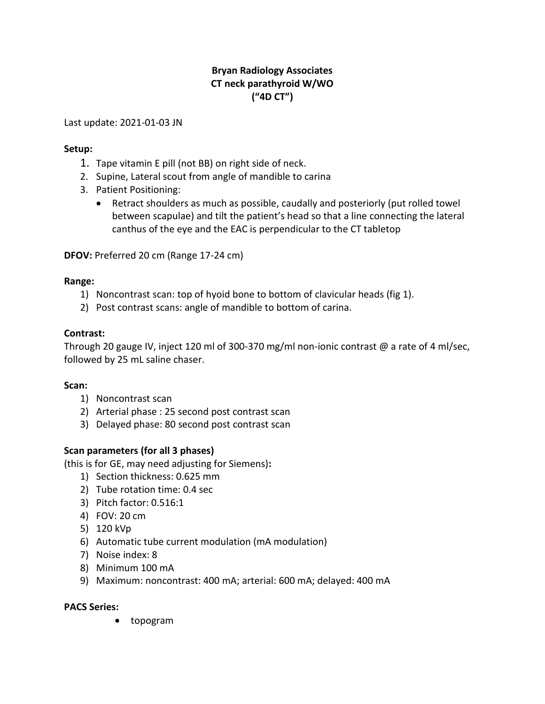# **Bryan Radiology Associates CT neck parathyroid W/WO ("4D CT")**

Last update: 2021-01-03 JN

## **Setup:**

- 1. Tape vitamin E pill (not BB) on right side of neck.
- 2. Supine, Lateral scout from angle of mandible to carina
- 3. Patient Positioning:
	- Retract shoulders as much as possible, caudally and posteriorly (put rolled towel between scapulae) and tilt the patient's head so that a line connecting the lateral canthus of the eye and the EAC is perpendicular to the CT tabletop

**DFOV:** Preferred 20 cm (Range 17-24 cm)

#### **Range:**

- 1) Noncontrast scan: top of hyoid bone to bottom of clavicular heads (fig 1).
- 2) Post contrast scans: angle of mandible to bottom of carina.

## **Contrast:**

Through 20 gauge IV, inject 120 ml of 300-370 mg/ml non-ionic contrast @ a rate of 4 ml/sec, followed by 25 mL saline chaser.

#### **Scan:**

- 1) Noncontrast scan
- 2) Arterial phase : 25 second post contrast scan
- 3) Delayed phase: 80 second post contrast scan

## **Scan parameters (for all 3 phases)**

(this is for GE, may need adjusting for Siemens)**:**

- 1) Section thickness: 0.625 mm
- 2) Tube rotation time: 0.4 sec
- 3) Pitch factor: 0.516:1
- 4) FOV: 20 cm
- 5) 120 kVp
- 6) Automatic tube current modulation (mA modulation)
- 7) Noise index: 8
- 8) Minimum 100 mA
- 9) Maximum: noncontrast: 400 mA; arterial: 600 mA; delayed: 400 mA

#### **PACS Series:**

topogram